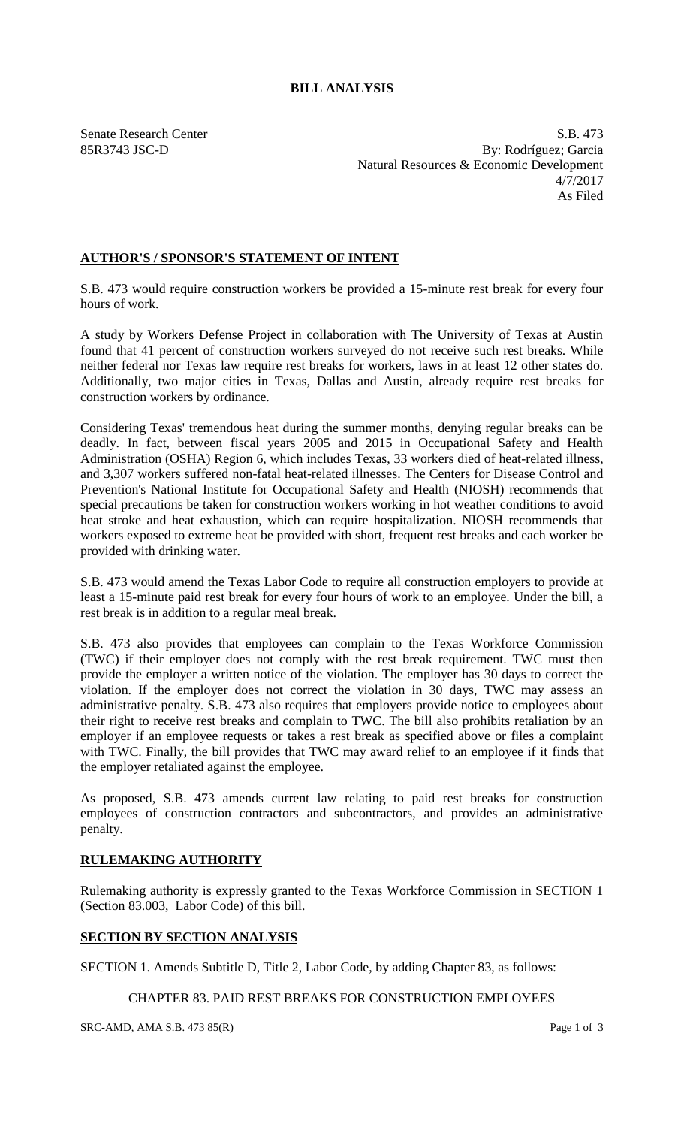## **BILL ANALYSIS**

Senate Research Center S.B. 473 85R3743 JSC-D By: Rodríguez; Garcia Natural Resources & Economic Development 4/7/2017 As Filed

## **AUTHOR'S / SPONSOR'S STATEMENT OF INTENT**

S.B. 473 would require construction workers be provided a 15-minute rest break for every four hours of work.

A study by Workers Defense Project in collaboration with The University of Texas at Austin found that 41 percent of construction workers surveyed do not receive such rest breaks. While neither federal nor Texas law require rest breaks for workers, laws in at least 12 other states do. Additionally, two major cities in Texas, Dallas and Austin, already require rest breaks for construction workers by ordinance.

Considering Texas' tremendous heat during the summer months, denying regular breaks can be deadly. In fact, between fiscal years 2005 and 2015 in Occupational Safety and Health Administration (OSHA) Region 6, which includes Texas, 33 workers died of heat-related illness, and 3,307 workers suffered non-fatal heat-related illnesses. The Centers for Disease Control and Prevention's National Institute for Occupational Safety and Health (NIOSH) recommends that special precautions be taken for construction workers working in hot weather conditions to avoid heat stroke and heat exhaustion, which can require hospitalization. NIOSH recommends that workers exposed to extreme heat be provided with short, frequent rest breaks and each worker be provided with drinking water.

S.B. 473 would amend the Texas Labor Code to require all construction employers to provide at least a 15-minute paid rest break for every four hours of work to an employee. Under the bill, a rest break is in addition to a regular meal break.

S.B. 473 also provides that employees can complain to the Texas Workforce Commission (TWC) if their employer does not comply with the rest break requirement. TWC must then provide the employer a written notice of the violation. The employer has 30 days to correct the violation. If the employer does not correct the violation in 30 days, TWC may assess an administrative penalty. S.B. 473 also requires that employers provide notice to employees about their right to receive rest breaks and complain to TWC. The bill also prohibits retaliation by an employer if an employee requests or takes a rest break as specified above or files a complaint with TWC. Finally, the bill provides that TWC may award relief to an employee if it finds that the employer retaliated against the employee.

As proposed, S.B. 473 amends current law relating to paid rest breaks for construction employees of construction contractors and subcontractors, and provides an administrative penalty.

## **RULEMAKING AUTHORITY**

Rulemaking authority is expressly granted to the Texas Workforce Commission in SECTION 1 (Section 83.003, Labor Code) of this bill.

## **SECTION BY SECTION ANALYSIS**

SECTION 1. Amends Subtitle D, Title 2, Labor Code, by adding Chapter 83, as follows:

CHAPTER 83. PAID REST BREAKS FOR CONSTRUCTION EMPLOYEES

 $SRC-AMD, AMA S.B. 473 85(R)$  Page 1 of 3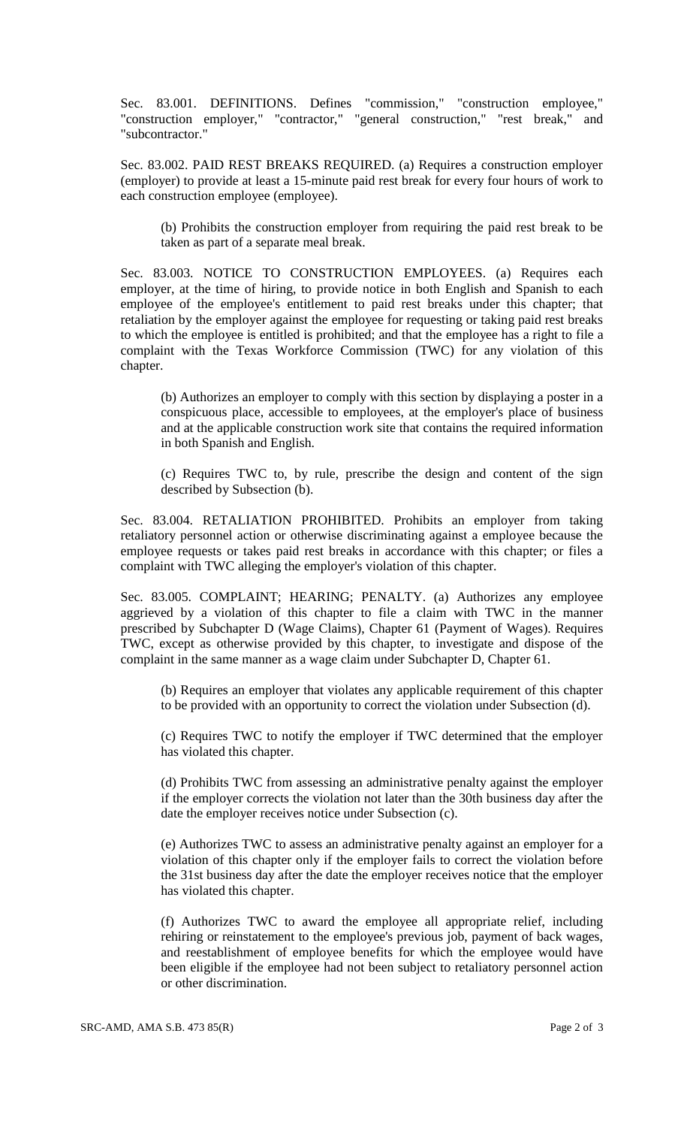Sec. 83.001. DEFINITIONS. Defines "commission," "construction employee," "construction employer," "contractor," "general construction," "rest break," and "subcontractor."

Sec. 83.002. PAID REST BREAKS REQUIRED. (a) Requires a construction employer (employer) to provide at least a 15-minute paid rest break for every four hours of work to each construction employee (employee).

(b) Prohibits the construction employer from requiring the paid rest break to be taken as part of a separate meal break.

Sec. 83.003. NOTICE TO CONSTRUCTION EMPLOYEES. (a) Requires each employer, at the time of hiring, to provide notice in both English and Spanish to each employee of the employee's entitlement to paid rest breaks under this chapter; that retaliation by the employer against the employee for requesting or taking paid rest breaks to which the employee is entitled is prohibited; and that the employee has a right to file a complaint with the Texas Workforce Commission (TWC) for any violation of this chapter.

(b) Authorizes an employer to comply with this section by displaying a poster in a conspicuous place, accessible to employees, at the employer's place of business and at the applicable construction work site that contains the required information in both Spanish and English.

(c) Requires TWC to, by rule, prescribe the design and content of the sign described by Subsection (b).

Sec. 83.004. RETALIATION PROHIBITED. Prohibits an employer from taking retaliatory personnel action or otherwise discriminating against a employee because the employee requests or takes paid rest breaks in accordance with this chapter; or files a complaint with TWC alleging the employer's violation of this chapter.

Sec. 83.005. COMPLAINT; HEARING; PENALTY. (a) Authorizes any employee aggrieved by a violation of this chapter to file a claim with TWC in the manner prescribed by Subchapter D (Wage Claims), Chapter 61 (Payment of Wages). Requires TWC, except as otherwise provided by this chapter, to investigate and dispose of the complaint in the same manner as a wage claim under Subchapter D, Chapter 61.

(b) Requires an employer that violates any applicable requirement of this chapter to be provided with an opportunity to correct the violation under Subsection (d).

(c) Requires TWC to notify the employer if TWC determined that the employer has violated this chapter.

(d) Prohibits TWC from assessing an administrative penalty against the employer if the employer corrects the violation not later than the 30th business day after the date the employer receives notice under Subsection (c).

(e) Authorizes TWC to assess an administrative penalty against an employer for a violation of this chapter only if the employer fails to correct the violation before the 31st business day after the date the employer receives notice that the employer has violated this chapter.

(f) Authorizes TWC to award the employee all appropriate relief, including rehiring or reinstatement to the employee's previous job, payment of back wages, and reestablishment of employee benefits for which the employee would have been eligible if the employee had not been subject to retaliatory personnel action or other discrimination.